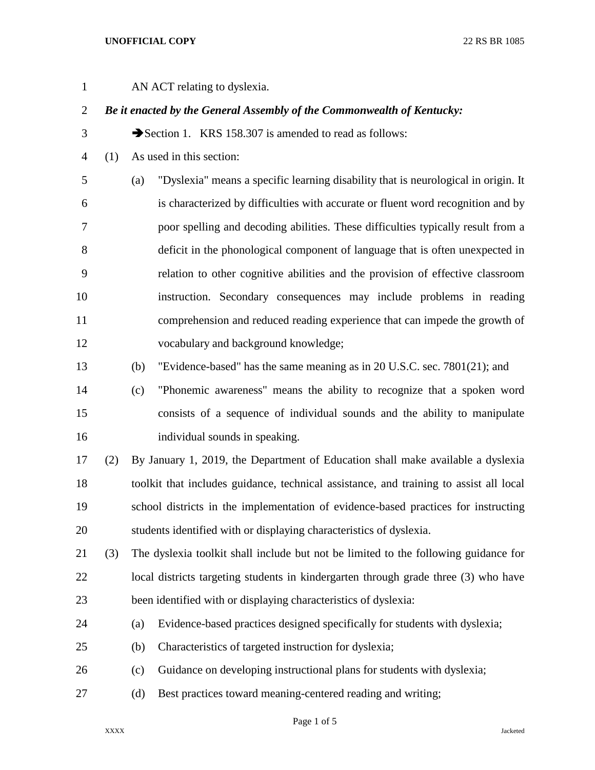## **UNOFFICIAL COPY** 22 RS BR 1085

| $\mathbf{1}$   |     | AN ACT relating to dyslexia.                                                              |  |  |
|----------------|-----|-------------------------------------------------------------------------------------------|--|--|
| $\overline{2}$ |     | Be it enacted by the General Assembly of the Commonwealth of Kentucky:                    |  |  |
| 3              |     | Section 1. KRS 158.307 is amended to read as follows:                                     |  |  |
| 4              | (1) | As used in this section:                                                                  |  |  |
| 5              |     | "Dyslexia" means a specific learning disability that is neurological in origin. It<br>(a) |  |  |
| 6              |     | is characterized by difficulties with accurate or fluent word recognition and by          |  |  |
| 7              |     | poor spelling and decoding abilities. These difficulties typically result from a          |  |  |
| 8              |     | deficit in the phonological component of language that is often unexpected in             |  |  |
| 9              |     | relation to other cognitive abilities and the provision of effective classroom            |  |  |
| 10             |     | instruction. Secondary consequences may include problems in reading                       |  |  |
| 11             |     | comprehension and reduced reading experience that can impede the growth of                |  |  |
| 12             |     | vocabulary and background knowledge;                                                      |  |  |
| 13             |     | "Evidence-based" has the same meaning as in 20 U.S.C. sec. 7801(21); and<br>(b)           |  |  |
| 14             |     | "Phonemic awareness" means the ability to recognize that a spoken word<br>(c)             |  |  |
| 15             |     | consists of a sequence of individual sounds and the ability to manipulate                 |  |  |
| 16             |     | individual sounds in speaking.                                                            |  |  |
| 17             | (2) | By January 1, 2019, the Department of Education shall make available a dyslexia           |  |  |
| 18             |     | toolkit that includes guidance, technical assistance, and training to assist all local    |  |  |
| 19             |     | school districts in the implementation of evidence-based practices for instructing        |  |  |
| 20             |     | students identified with or displaying characteristics of dyslexia.                       |  |  |
| 21             | (3) | The dyslexia toolkit shall include but not be limited to the following guidance for       |  |  |
| 22             |     | local districts targeting students in kindergarten through grade three (3) who have       |  |  |
| 23             |     | been identified with or displaying characteristics of dyslexia:                           |  |  |
| 24             |     | Evidence-based practices designed specifically for students with dyslexia;<br>(a)         |  |  |
| 25             |     | Characteristics of targeted instruction for dyslexia;<br>(b)                              |  |  |
| 26             |     | Guidance on developing instructional plans for students with dyslexia;<br>(c)             |  |  |
| 27             |     | Best practices toward meaning-centered reading and writing;<br>(d)                        |  |  |

Page 1 of 5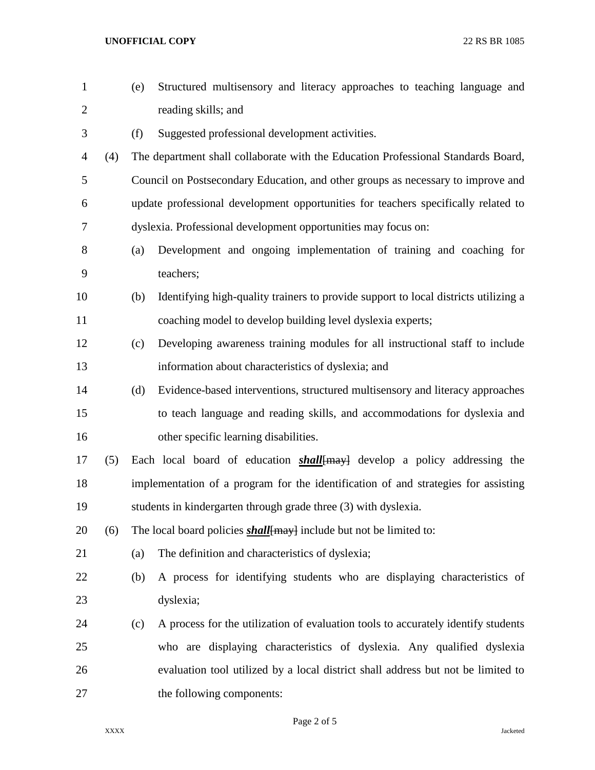**UNOFFICIAL COPY** 22 RS BR 1085

| $\mathbf{1}$   |     | (e)                                                            | Structured multisensory and literacy approaches to teaching language and            |  |
|----------------|-----|----------------------------------------------------------------|-------------------------------------------------------------------------------------|--|
| $\overline{c}$ |     |                                                                | reading skills; and                                                                 |  |
| 3              |     | (f)                                                            | Suggested professional development activities.                                      |  |
| 4              | (4) |                                                                | The department shall collaborate with the Education Professional Standards Board,   |  |
| 5              |     |                                                                | Council on Postsecondary Education, and other groups as necessary to improve and    |  |
| 6              |     |                                                                | update professional development opportunities for teachers specifically related to  |  |
| 7              |     | dyslexia. Professional development opportunities may focus on: |                                                                                     |  |
| 8              |     | (a)                                                            | Development and ongoing implementation of training and coaching for                 |  |
| 9              |     |                                                                | teachers;                                                                           |  |
| 10             |     | (b)                                                            | Identifying high-quality trainers to provide support to local districts utilizing a |  |
| 11             |     |                                                                | coaching model to develop building level dyslexia experts;                          |  |
| 12             |     | (c)                                                            | Developing awareness training modules for all instructional staff to include        |  |
| 13             |     |                                                                | information about characteristics of dyslexia; and                                  |  |
| 14             |     | (d)                                                            | Evidence-based interventions, structured multisensory and literacy approaches       |  |
| 15             |     |                                                                | to teach language and reading skills, and accommodations for dyslexia and           |  |
| 16             |     |                                                                | other specific learning disabilities.                                               |  |
| 17             | (5) |                                                                | Each local board of education <b>shall</b> {may} develop a policy addressing the    |  |
| 18             |     |                                                                | implementation of a program for the identification of and strategies for assisting  |  |
| 19             |     |                                                                | students in kindergarten through grade three (3) with dyslexia.                     |  |
| 20             | (6) |                                                                | The local board policies <i>shall</i> [may] include but not be limited to:          |  |
| 21             |     | (a)                                                            | The definition and characteristics of dyslexia;                                     |  |
| 22             |     | (b)                                                            | A process for identifying students who are displaying characteristics of            |  |
| 23             |     |                                                                | dyslexia;                                                                           |  |
| 24             |     | (c)                                                            | A process for the utilization of evaluation tools to accurately identify students   |  |
| 25             |     |                                                                | who are displaying characteristics of dyslexia. Any qualified dyslexia              |  |
| 26             |     |                                                                | evaluation tool utilized by a local district shall address but not be limited to    |  |
| 27             |     |                                                                | the following components:                                                           |  |

Page 2 of 5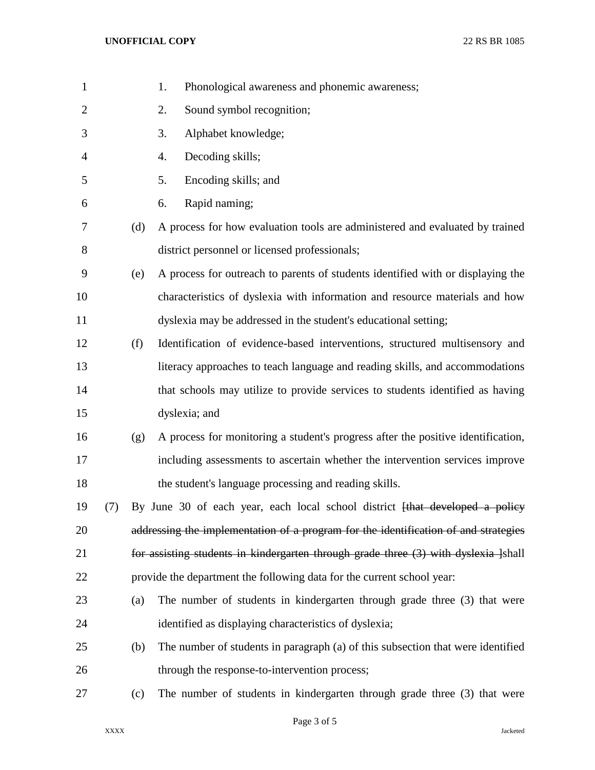| $\mathbf{1}$   |     |     | 1.<br>Phonological awareness and phonemic awareness;                                |
|----------------|-----|-----|-------------------------------------------------------------------------------------|
| $\overline{2}$ |     |     | Sound symbol recognition;<br>2.                                                     |
| 3              |     |     | Alphabet knowledge;<br>3.                                                           |
| $\overline{4}$ |     |     | Decoding skills;<br>4.                                                              |
| 5              |     |     | 5.<br>Encoding skills; and                                                          |
| 6              |     |     | Rapid naming;<br>6.                                                                 |
| 7              |     | (d) | A process for how evaluation tools are administered and evaluated by trained        |
| $8\,$          |     |     | district personnel or licensed professionals;                                       |
| 9              |     | (e) | A process for outreach to parents of students identified with or displaying the     |
| 10             |     |     | characteristics of dyslexia with information and resource materials and how         |
| 11             |     |     | dyslexia may be addressed in the student's educational setting;                     |
| 12             |     | (f) | Identification of evidence-based interventions, structured multisensory and         |
| 13             |     |     | literacy approaches to teach language and reading skills, and accommodations        |
| 14             |     |     | that schools may utilize to provide services to students identified as having       |
| 15             |     |     | dyslexia; and                                                                       |
| 16             |     | (g) | A process for monitoring a student's progress after the positive identification,    |
| 17             |     |     | including assessments to ascertain whether the intervention services improve        |
| 18             |     |     | the student's language processing and reading skills.                               |
| 19             | (7) |     | By June 30 of each year, each local school district [that developed a policy        |
| 20             |     |     | addressing the implementation of a program for the identification of and strategies |
| 21             |     |     | for assisting students in kindergarten through grade three (3) with dyslexia ]shall |
| 22             |     |     | provide the department the following data for the current school year:              |
| 23             |     | (a) | The number of students in kindergarten through grade three (3) that were            |
| 24             |     |     | identified as displaying characteristics of dyslexia;                               |
| 25             |     | (b) | The number of students in paragraph (a) of this subsection that were identified     |
| 26             |     |     | through the response-to-intervention process;                                       |
| 27             |     | (c) | The number of students in kindergarten through grade three (3) that were            |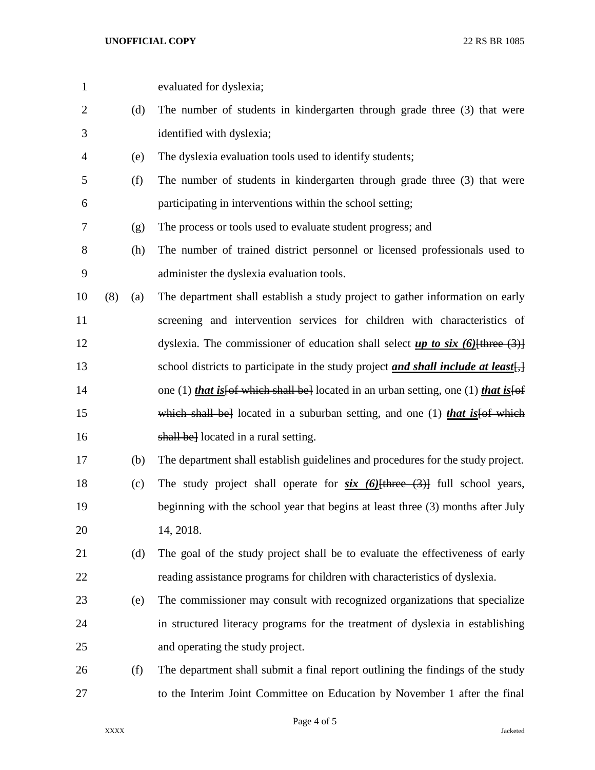| $\mathbf{1}$   |     |     | evaluated for dyslexia;                                                             |
|----------------|-----|-----|-------------------------------------------------------------------------------------|
| $\overline{2}$ |     | (d) | The number of students in kindergarten through grade three (3) that were            |
| 3              |     |     | identified with dyslexia;                                                           |
| 4              |     | (e) | The dyslexia evaluation tools used to identify students;                            |
| 5              |     | (f) | The number of students in kindergarten through grade three (3) that were            |
| 6              |     |     | participating in interventions within the school setting;                           |
| 7              |     | (g) | The process or tools used to evaluate student progress; and                         |
| 8              |     | (h) | The number of trained district personnel or licensed professionals used to          |
| 9              |     |     | administer the dyslexia evaluation tools.                                           |
| 10             | (8) | (a) | The department shall establish a study project to gather information on early       |
| 11             |     |     | screening and intervention services for children with characteristics of            |
| 12             |     |     | dyslexia. The commissioner of education shall select $up$ to six (6) {three (3)}    |
| 13             |     |     | school districts to participate in the study project and shall include at least.    |
| 14             |     |     | one (1) that is for which shall be located in an urban setting, one (1) that is for |
| 15             |     |     | which shall be located in a suburban setting, and one (1) that is [of which         |
| 16             |     |     | shall be located in a rural setting.                                                |
| 17             |     | (b) | The department shall establish guidelines and procedures for the study project.     |
| 18             |     | (c) | The study project shall operate for $six$ (6) [three (3)] full school years,        |
| 19             |     |     | beginning with the school year that begins at least three (3) months after July     |
| 20             |     |     | 14, 2018.                                                                           |
| 21             |     | (d) | The goal of the study project shall be to evaluate the effectiveness of early       |
| 22             |     |     | reading assistance programs for children with characteristics of dyslexia.          |
| 23             |     | (e) | The commissioner may consult with recognized organizations that specialize          |
| 24             |     |     | in structured literacy programs for the treatment of dyslexia in establishing       |
| 25             |     |     | and operating the study project.                                                    |
| 26             |     | (f) | The department shall submit a final report outlining the findings of the study      |
| 27             |     |     | to the Interim Joint Committee on Education by November 1 after the final           |